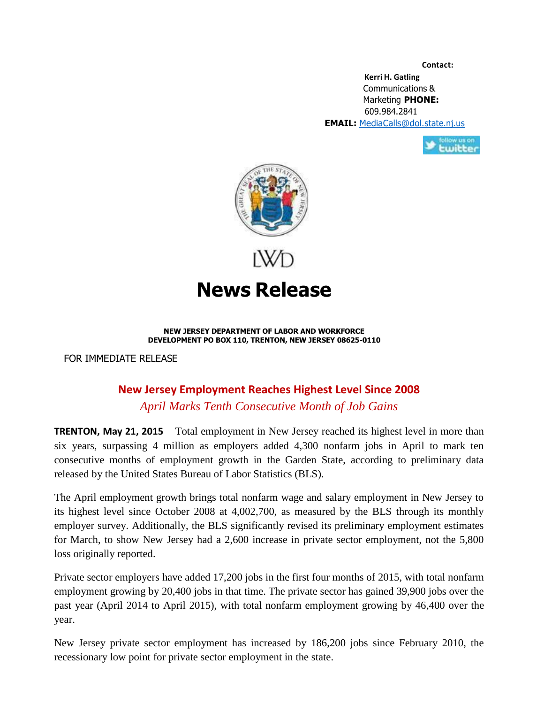**Contact:**

**Kerri H. Gatling** Communications & Marketing **PHONE:** 609.984.2841 **EMAIL:** [MediaCalls@dol.state.nj.us](mailto:MediaCalls@dol.state.nj.us)





**News Release**

## **NEW JERSEY DEPARTMENT OF LABOR AND WORKFORCE DEVELOPMENT PO BOX 110, TRENTON, NEW JERSEY 08625-0110**

FOR IMMEDIATE RELEASE

## **New Jersey Employment Reaches Highest Level Since 2008**

*April Marks Tenth Consecutive Month of Job Gains* 

**TRENTON, May 21, 2015** – Total employment in New Jersey reached its highest level in more than six years, surpassing 4 million as employers added 4,300 nonfarm jobs in April to mark ten consecutive months of employment growth in the Garden State, according to preliminary data released by the United States Bureau of Labor Statistics (BLS).

The April employment growth brings total nonfarm wage and salary employment in New Jersey to its highest level since October 2008 at 4,002,700, as measured by the BLS through its monthly employer survey. Additionally, the BLS significantly revised its preliminary employment estimates for March, to show New Jersey had a 2,600 increase in private sector employment, not the 5,800 loss originally reported.

Private sector employers have added 17,200 jobs in the first four months of 2015, with total nonfarm employment growing by 20,400 jobs in that time. The private sector has gained 39,900 jobs over the past year (April 2014 to April 2015), with total nonfarm employment growing by 46,400 over the year.

New Jersey private sector employment has increased by 186,200 jobs since February 2010, the recessionary low point for private sector employment in the state.